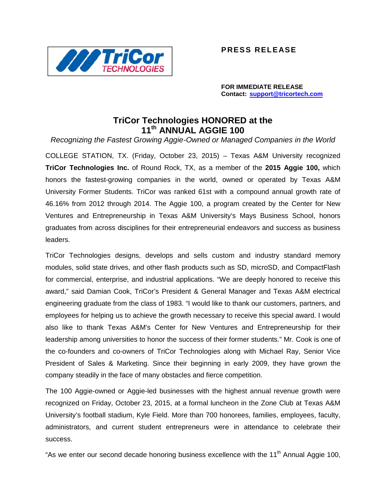

**PRESS RELEASE**

**FOR IMMEDIATE RELEASE Contact: support@tricortech.com**

## **TriCor Technologies HONORED at the 11th ANNUAL AGGIE 100**

*Recognizing the Fastest Growing Aggie-Owned or Managed Companies in the World*

COLLEGE STATION, TX. (Friday, October 23, 2015) – Texas A&M University recognized **TriCor Technologies Inc.** of Round Rock, TX, as a member of the **2015 Aggie 100,** which honors the fastest-growing companies in the world, owned or operated by Texas A&M University Former Students. TriCor was ranked 61st with a compound annual growth rate of 46.16% from 2012 through 2014. The Aggie 100, a program created by the Center for New Ventures and Entrepreneurship in Texas A&M University's Mays Business School, honors graduates from across disciplines for their entrepreneurial endeavors and success as business leaders.

TriCor Technologies designs, develops and sells custom and industry standard memory modules, solid state drives, and other flash products such as SD, microSD, and CompactFlash for commercial, enterprise, and industrial applications. "We are deeply honored to receive this award," said Damian Cook, TriCor's President & General Manager and Texas A&M electrical engineering graduate from the class of 1983. "I would like to thank our customers, partners, and employees for helping us to achieve the growth necessary to receive this special award. I would also like to thank Texas A&M's Center for New Ventures and Entrepreneurship for their leadership among universities to honor the success of their former students." Mr. Cook is one of the co-founders and co-owners of TriCor Technologies along with Michael Ray, Senior Vice President of Sales & Marketing. Since their beginning in early 2009, they have grown the company steadily in the face of many obstacles and fierce competition.

The 100 Aggie-owned or Aggie-led businesses with the highest annual revenue growth were recognized on Friday, October 23, 2015, at a formal luncheon in the Zone Club at Texas A&M University's football stadium, Kyle Field. More than 700 honorees, families, employees, faculty, administrators, and current student entrepreneurs were in attendance to celebrate their success.

"As we enter our second decade honoring business excellence with the 11<sup>th</sup> Annual Aggie 100,